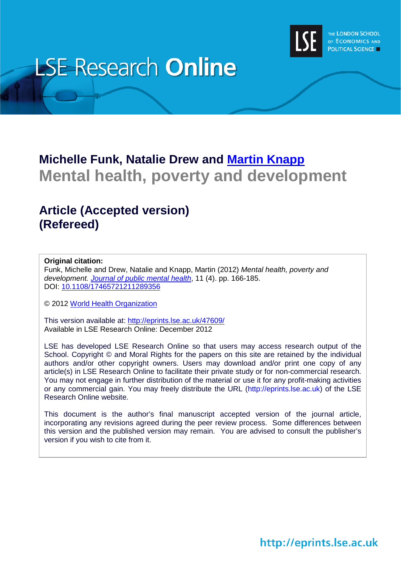

# **LSE Research Online**

## **Michelle Funk, Natalie Drew and [Martin Knapp](http://www2.lse.ac.uk/researchAndExpertise/Experts/profile.aspx?KeyValue=m.knapp@lse.ac.uk) Mental health, poverty and development**

## **Article (Accepted version) (Refereed)**

#### **Original citation:**

Funk, Michelle and Drew, Natalie and Knapp, Martin (2012) *Mental health, poverty and development. [Journal of public mental health](http://www.emeraldinsight.com/products/journals/journals.htm?id=jpmh)*, 11 (4). pp. 166-185. DOI: [10.1108/17465721211289356](http://dx.doi.org/10.1108/17465721211289356)

© 2012 [World Health Organization](http://www.who.int/en/)

This version available at:<http://eprints.lse.ac.uk/47609/> Available in LSE Research Online: December 2012

LSE has developed LSE Research Online so that users may access research output of the School. Copyright © and Moral Rights for the papers on this site are retained by the individual authors and/or other copyright owners. Users may download and/or print one copy of any article(s) in LSE Research Online to facilitate their private study or for non-commercial research. You may not engage in further distribution of the material or use it for any profit-making activities or any commercial gain. You may freely distribute the URL (http://eprints.lse.ac.uk) of the LSE Research Online website.

This document is the author's final manuscript accepted version of the journal article, incorporating any revisions agreed during the peer review process. Some differences between this version and the published version may remain. You are advised to consult the publisher's version if you wish to cite from it.

### http://eprints.lse.ac.uk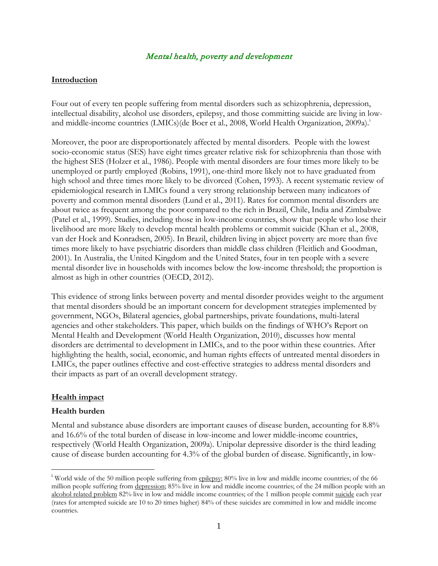#### Mental health, poverty and development

#### **Introduction**

Four out of every ten people suffering from mental disorders such as schizophrenia, depression, intellectual disability, alcohol use disorders, epilepsy, and those committing suicide are living in lowand middle-income countries (LMICs)[\(de Boer et al., 2008,](#page-17-0) [World Health Organization, 2009a\)](#page-24-0). [i](#page-1-0)

Moreover, the poor are disproportionately affected by mental disorders. People with the lowest socio-economic status (SES) have eight times greater relative risk for schizophrenia than those with the highest SES [\(Holzer et al., 1986\)](#page-19-0). People with mental disorders are four times more likely to be unemployed or partly employed [\(Robins,](#page-22-0) 1991), one-third more likely not to have graduated from high school and three times more likely to be divorced [\(Cohen, 1993\)](#page-17-1). A recent systematic review of epidemiological research in LMICs found a very strong relationship between many indicators of poverty and common mental disorders [\(Lund et al., 2011\)](#page-20-0). Rates for common mental disorders are about twice as frequent among the poor compared to the rich in Brazil, Chile, India and Zimbabwe [\(Patel et al., 1999\)](#page-21-0). Studies, including those in low-income countries, show that people who lose their livelihood are more likely to develop mental health problems or commit suicide [\(Khan et al., 2008,](#page-19-1) [van der Hoek and Konradsen, 2005\)](#page-23-0). In Brazil, children living in abject poverty are more than five times more likely to have psychiatric disorders than middle class children [\(Fleitlich and Goodman,](#page-18-0)  [2001\)](#page-18-0). In Australia, the United Kingdom and the United States, four in ten people with a severe mental disorder live in households with incomes below the low-income threshold; the proportion is almost as high in other countries [\(OECD, 2012\)](#page-21-1).

This evidence of strong links between poverty and mental disorder provides weight to the argument that mental disorders should be an important concern for development strategies implemented by government, NGOs, Bilateral agencies, global partnerships, private foundations, multi-lateral agencies and other stakeholders. This paper, which builds on the findings of WHO's Report on Mental Health and Development [\(World Health Organization, 2010\)](#page-24-1), discusses how mental disorders are detrimental to development in LMICs, and to the poor within these countries. After highlighting the health, social, economic, and human rights effects of untreated mental disorders in LMICs, the paper outlines effective and cost-effective strategies to address mental disorders and their impacts as part of an overall development strategy.

#### **Health impact**

#### **Health burden**

Mental and substance abuse disorders are important causes of disease burden, accounting for 8.8% and 16.6% of the total burden of disease in low-income and lower middle-income countries, respectively [\(World Health Organization, 2009a\)](#page-24-0). Unipolar depressive disorder is the third leading cause of disease burden accounting for 4.3% of the global burden of disease. Significantly, in low-

<span id="page-1-1"></span><span id="page-1-0"></span>i <sup>i</sup> World wide of the 50 million people suffering from **epilepsy**; 80% live in low and middle income countries; of the 66 million people suffering from <u>depression</u>; 85% live in low and middle income countries; of the 24 million people with an alcohol related problem 82% live in low and middle income countries; of the 1 million people commit suicide each year (rates for attempted suicide are 10 to 20 times higher) 84% of these suicides are committed in low and middle income countries.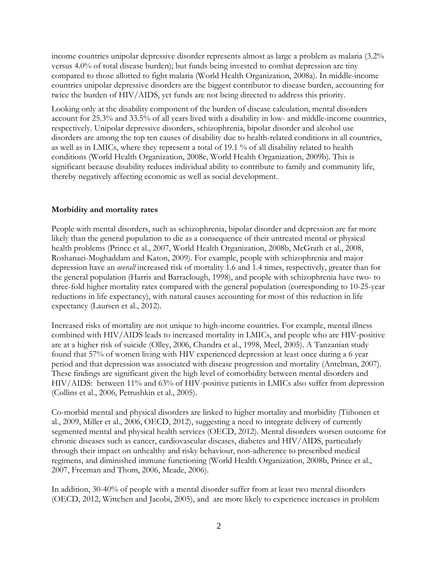income countries unipolar depressive disorder represents almost as large a problem as malaria (3.2% versus 4.0% of total disease burden); but funds being invested to combat depression are tiny compared to those allotted to fight malaria [\(World Health Organization, 2008a\)](#page-23-1). In middle-income countries unipolar depressive disorders are the biggest contributor to disease burden, accounting for twice the burden of HIV/AIDS, yet funds are not being directed to address this priority.

Looking only at the disability component of the burden of disease calculation, mental disorders account for 25.3% and 33.5% of all years lived with a disability in low- and middle-income countries, respectively. Unipolar depressive disorders, schizophrenia, bipolar disorder and alcohol use disorders are among the top ten causes of disability due to health-related conditions in all countries, as well as in LMICs, where they represent a total of 19.1 % of all disability related to health conditions [\(World Health Organization, 2008c,](#page-23-1) [World Health Organization, 2009b\)](#page-24-0). This is significant because disability reduces individual ability to contribute to family and community life, thereby negatively affecting economic as well as social development.

#### **Morbidity and mortality rates**

People with mental disorders, such as schizophrenia, bipolar disorder and depression are far more likely than the general population to die as a consequence of their untreated mental or physical health problems [\(Prince et al., 2007,](#page-22-1) [World Health Organization, 2008b,](#page-24-2) [McGrath et al., 2008,](#page-20-1) [Roshanaei-Moghaddam and Katon, 2009\)](#page-22-2). For example, people with schizophrenia and major depression have an *overall* increased risk of mortality 1.6 and 1.4 times, respectively, greater than for the general population [\(Harris and Barraclough, 1998\)](#page-18-1), and people with schizophrenia have two- to three-fold higher mortality rates compared with the general population (corresponding to 10-25-year reductions in life expectancy), with natural causes accounting for most of this reduction in life expectancy [\(Laursen et al., 2012\)](#page-19-2).

Increased risks of mortality are not unique to high-income countries. For example, mental illness combined with HIV/AIDS leads to increased mortality in LMICs, and people who are HIV-positive are at a higher risk of suicide [\(Olley, 2006,](#page-21-2) [Chandra et al., 1998,](#page-16-0) [Meel, 2005\)](#page-20-2). A Tanzanian study found that 57% of women living with HIV experienced depression at least once during a 6 year period and that depression was associated with disease progression and mortality [\(Antelman, 2007\)](#page-15-0). These findings are significant given the high level of comorbidity between mental disorders and HIV/AIDS: between 11% and 63% of HIV-positive patients in LMICs also suffer from depression [\(Collins et al., 2006,](#page-17-2) [Petrushkin et al., 2005\)](#page-22-3).

Co-morbid mental and physical disorders are linked to higher mortality and morbidity [\(Tiihonen et](#page-23-2)  [al., 2009,](#page-23-2) [Miller et al., 2006,](#page-20-3) [OECD, 2012\)](#page-21-1), suggesting a need to integrate delivery of currently segmented mental and physical health services [\(OECD, 2012\)](#page-21-1). Mental disorders worsen outcome for chronic diseases such as cancer, cardiovascular diseases, diabetes and HIV/AIDS, particularly through their impact on unhealthy and risky behaviour, non-adherence to prescribed medical regimens, and diminished immune functioning [\(World Health Organization, 2008b,](#page-24-2) [Prince et al.,](#page-22-1)  [2007,](#page-22-1) [Freeman and Thom, 2006,](#page-18-2) [Meade, 2006\)](#page-20-4).

In addition, 30-40% of people with a mental disorder suffer from at least two mental disorders [\(OECD, 2012,](#page-21-1) [Wittchen and Jacobi, 2005\)](#page-23-3), and are more likely to experience increases in problem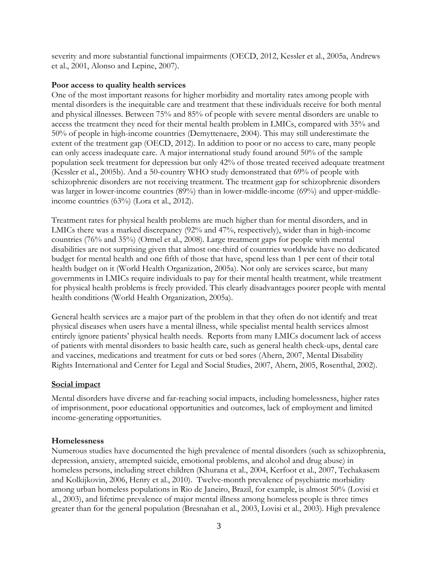severity and more substantial functional impairments [\(OECD, 2012,](#page-21-1) [Kessler et al., 2005a,](#page-19-3) [Andrews](#page-15-1)  [et al., 2001,](#page-15-1) [Alonso and Lepine, 2007\)](#page-15-2).

#### **Poor access to quality health services**

One of the most important reasons for higher morbidity and mortality rates among people with mental disorders is the inequitable care and treatment that these individuals receive for both mental and physical illnesses. Between 75% and 85% of people with severe mental disorders are unable to access the treatment they need for their mental health problem in LMICs, compared with 35% and 50% of people in high-income countries [\(Demyttenaere, 2004\)](#page-17-3). This may still underestimate the extent of the treatment gap [\(OECD, 2012\)](#page-21-1). In addition to poor or no access to care, many people can only access inadequate care. A major international study found around 50% of the sample population seek treatment for depression but only 42% of those treated received adequate treatment [\(Kessler et al., 2005b\)](#page-19-4). And a 50-country WHO study demonstrated that 69% of people with schizophrenic disorders are not receiving treatment. The treatment gap for schizophrenic disorders was larger in lower-income countries (89%) than in lower-middle-income (69%) and upper-middleincome countries (63%) [\(Lora et al., 2012\)](#page-20-5).

Treatment rates for physical health problems are much higher than for mental disorders, and in LMICs there was a marked discrepancy (92% and 47%, respectively), wider than in high-income countries (76% and 35%) [\(Ormel et al., 2008\)](#page-21-3). Large treatment gaps for people with mental disabilities are not surprising given that almost one-third of countries worldwide have no dedicated budget for mental health and one fifth of those that have, spend less than 1 per cent of their total health budget on it [\(World Health Organization, 2005a\)](#page-23-4). Not only are services scarce, but many governments in LMICs require individuals to pay for their mental health treatment, while treatment for physical health problems is freely provided. This clearly disadvantages poorer people with mental health conditions [\(World Health Organization, 2005a\)](#page-23-4).

General health services are a major part of the problem in that they often do not identify and treat physical diseases when users have a mental illness, while specialist mental health services almost entirely ignore patients' physical health needs. Reports from many LMICs document lack of access of patients with mental disorders to basic health care, such as general health check-ups, dental care and vaccines, medications and treatment for cuts or bed sores [\(Ahern, 2007,](#page-15-3) [Mental Disability](#page-20-6)  [Rights International and Center for Legal and Social Studies, 2007,](#page-20-6) [Ahern, 2005,](#page-15-4) [Rosenthal, 2002\)](#page-22-4).

#### **Social impact**

Mental disorders have diverse and far-reaching social impacts, including homelessness, higher rates of imprisonment, poor educational opportunities and outcomes, lack of employment and limited income-generating opportunities.

#### **Homelessness**

Numerous studies have documented the high prevalence of mental disorders (such as schizophrenia, depression, anxiety, attempted suicide, emotional problems, and alcohol and drug abuse) in homeless persons, including street children [\(Khurana et al., 2004,](#page-19-5) [Kerfoot et al., 2007,](#page-19-6) [Techakasem](#page-22-5)  [and Kolkijkovin, 2006,](#page-22-5) [Henry et al., 2010\)](#page-18-3). Twelve-month prevalence of psychiatric morbidity among urban homeless populations in Rio de Janeiro, Brazil, for example, is almost 50% [\(Lovisi et](#page-20-7)  [al., 2003\)](#page-20-7), and lifetime prevalence of major mental illness among homeless people is three times greater than for the general population [\(Bresnahan et al., 2003,](#page-16-1) [Lovisi et al., 2003\)](#page-20-7). High prevalence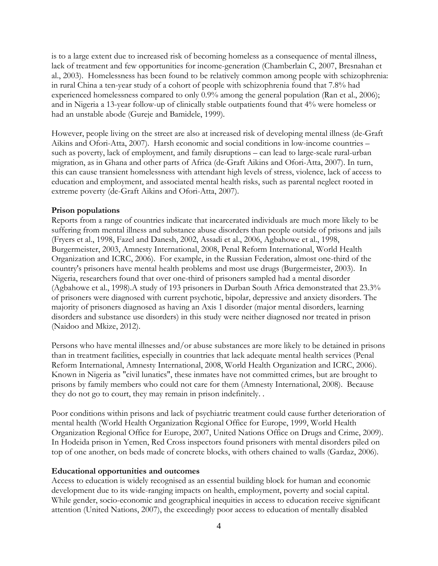is to a large extent due to increased risk of becoming homeless as a consequence of mental illness, lack of treatment and few opportunities for income-generation [\(Chamberlain C, 2007,](#page-16-2) [Bresnahan et](#page-16-1)  [al., 2003\)](#page-16-1). Homelessness has been found to be relatively common among people with schizophrenia: in rural China a ten-year study of a cohort of people with schizophrenia found that 7.8% had experienced homelessness compared to only 0.9% among the general population [\(Ran et al., 2006\)](#page-22-6); and in Nigeria a 13-year follow-up of clinically stable outpatients found that 4% were homeless or had an unstable abode [\(Gureje and Bamidele, 1999\)](#page-18-4).

However, people living on the street are also at increased risk of developing mental illness [\(de-Graft](#page-17-4)  [Aikins and Ofori-Atta, 2007\)](#page-17-4). Harsh economic and social conditions in low-income countries – such as poverty, lack of employment, and family disruptions – can lead to large-scale rural-urban migration, as in Ghana and other parts of Africa [\(de-Graft Aikins and Ofori-Atta, 2007\)](#page-17-4). In turn, this can cause transient homelessness with attendant high levels of stress, violence, lack of access to education and employment, and associated mental health risks, such as parental neglect rooted in extreme poverty [\(de-Graft Aikins and Ofori-Atta, 2007\)](#page-17-4).

#### **Prison populations**

Reports from a range of countries indicate that incarcerated individuals are much more likely to be suffering from mental illness and substance abuse disorders than people outside of prisons and jails [\(Fryers et al., 1998,](#page-18-5) [Fazel and Danesh, 2002,](#page-17-5) [Assadi et al., 2006,](#page-15-5) [Agbahowe et al., 1998,](#page-15-6) [Burgermeister, 2003,](#page-16-3) [Amnesty International, 2008,](#page-15-7) [Penal Reform International,](#page-22-7) [World Health](#page-24-3)  [Organization and ICRC, 2006\)](#page-24-3). For example, in the Russian Federation, almost one-third of the country's prisoners have mental health problems and most use drugs [\(Burgermeister, 2003\)](#page-16-3). In Nigeria, researchers found that over one-third of prisoners sampled had a mental disorder [\(Agbahowe et al., 1998\)](#page-15-6).A study of 193 prisoners in Durban South Africa demonstrated that 23.3% of prisoners were diagnosed with current psychotic, bipolar, depressive and anxiety disorders. The majority of prisoners diagnosed as having an Axis 1 disorder (major mental disorders, learning disorders and substance use disorders) in this study were neither diagnosed nor treated in prison [\(Naidoo and Mkize, 2012\)](#page-21-4).

Persons who have mental illnesses and/or abuse substances are more likely to be detained in prisons than in treatment facilities, especially in countries that lack adequate mental health services [\(Penal](#page-22-7)  [Reform International,](#page-22-7) [Amnesty International, 2008,](#page-15-7) [World Health Organization and ICRC, 2006\)](#page-24-3). Known in Nigeria as "civil lunatics", these inmates have not committed crimes, but are brought to prisons by family members who could not care for them [\(Amnesty International, 2008\)](#page-15-7). Because they do not go to court, they may remain in prison indefinitely. .

Poor conditions within prisons and lack of psychiatric treatment could cause further deterioration of mental health [\(World Health Organization Regional Office for Europe, 1999,](#page-24-4) [World Health](#page-24-5)  [Organization Regional Office for Europe, 2007,](#page-24-5) [United Nations Office on Drugs and Crime, 2009\)](#page-23-5). In Hodeida prison in Yemen, Red Cross inspectors found prisoners with mental disorders piled on top of one another, on beds made of concrete blocks, with others chained to walls [\(Gardaz, 2006\)](#page-18-6).

#### **Educational opportunities and outcomes**

Access to education is widely recognised as an essential building block for human and economic development due to its wide-ranging impacts on health, employment, poverty and social capital. While gender, socio-economic and geographical inequities in access to education receive significant attention [\(United Nations, 2007\)](#page-23-6), the exceedingly poor access to education of mentally disabled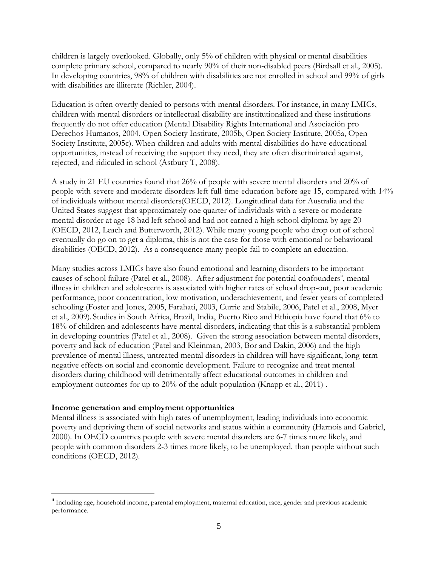children is largely overlooked. Globally, only 5% of children with physical or mental disabilities complete primary school, compared to nearly 90% of their non-disabled peers [\(Birdsall et al., 2005\)](#page-16-4). In developing countries, 98% of children with disabilities are not enrolled in school and 99% of girls with disabilities are illiterate [\(Richler, 2004\)](#page-22-8).

Education is often overtly denied to persons with mental disorders. For instance, in many LMICs, children with mental disorders or intellectual disability are institutionalized and these institutions frequently do not offer education [\(Mental Disability Rights International and Asociación pro](#page-20-8)  [Derechos Humanos, 2004,](#page-20-8) [Open Society Institute, 2005b,](#page-21-5) [Open Society Institute, 2005a,](#page-21-6) [Open](#page-21-7)  [Society Institute, 2005c\)](#page-21-7). When children and adults with mental disabilities do have educational opportunities, instead of receiving the support they need, they are often discriminated against, rejected, and ridiculed in school [\(Astbury T, 2008\)](#page-15-8).

A study in 21 EU countries found that 26% of people with severe mental disorders and 20% of people with severe and moderate disorders left full-time education before age 15, compared with 14% of individuals without mental disorders[\(OECD, 2012\)](#page-21-1). Longitudinal data for Australia and the United States suggest that approximately one quarter of individuals with a severe or moderate mental disorder at age 18 had left school and had not earned a high school diploma by age 20 [\(OECD, 2012,](#page-21-1) [Leach and Butterworth, 2012\)](#page-19-7). While many young people who drop out of school eventually do go on to get a diploma, this is not the case for those with emotional or behavioural disabilities [\(OECD, 2012\)](#page-21-1). As a consequence many people fail to complete an education.

Many studies across LMICs have also found emotional and learning disorders to be important causes of school failure [\(Patel et al., 2008\)](#page-21-8). After adjustment for potential confounders<sup>[ii](#page-1-1)</sup>, mental illness in children and adolescents is associated with higher rates of school drop-out, poor academic performance, poor concentration, low motivation, underachievement, and fewer years of completed schooling [\(Foster and Jones, 2005,](#page-18-7) [Farahati, 2003,](#page-17-6) [Currie and Stabile, 2006,](#page-17-7) [Patel et al., 2008,](#page-21-8) [Myer](#page-21-9)  [et al., 2009\)](#page-21-9). Studies in South Africa, Brazil, India, Puerto Rico and Ethiopia have found that 6% to 18% of children and adolescents have mental disorders, indicating that this is a substantial problem in developing countries [\(Patel et al., 2008\)](#page-21-8). Given the strong association between mental disorders, poverty and lack of education [\(Patel and Kleinman, 2003,](#page-21-10) [Bor and Dakin, 2006\)](#page-16-5) and the high prevalence of mental illness, untreated mental disorders in children will have significant, long-term negative effects on social and economic development. Failure to recognize and treat mental disorders during childhood will detrimentally affect educational outcomes in children and employment outcomes for up to 20% of the adult population [\(Knapp et al., 2011\)](#page-19-8).

#### **Income generation and employment opportunities**

Mental illness is associated with high rates of unemployment, leading individuals into economic poverty and depriving them of social networks and status within a community [\(Harnois and Gabriel,](#page-18-8)  [2000\)](#page-18-8). In OECD countries people with severe mental disorders are 6-7 times more likely, and people with common disorders 2-3 times more likely, to be unemployed. than people without such conditions [\(OECD, 2012\)](#page-21-1).

ii Including age, household income, parental employment, maternal education, race, gender and previous academic performance.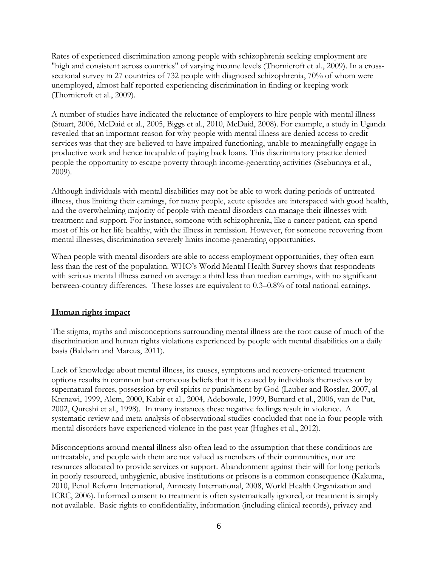Rates of experienced discrimination among people with schizophrenia seeking employment are "high and consistent across countries" of varying income levels [\(Thornicroft et al., 2009\)](#page-23-7). In a crosssectional survey in 27 countries of 732 people with diagnosed schizophrenia, 70% of whom were unemployed, almost half reported experiencing discrimination in finding or keeping work [\(Thornicroft et al., 2009\)](#page-23-7).

A number of studies have indicated the reluctance of employers to hire people with mental illness [\(Stuart, 2006,](#page-22-9) [McDaid et al., 2005,](#page-20-9) [Biggs et al., 2010,](#page-16-6) [McDaid, 2008\)](#page-20-10). For example, a study in Uganda revealed that an important reason for why people with mental illness are denied access to credit services was that they are believed to have impaired functioning, unable to meaningfully engage in productive work and hence incapable of paying back loans. This discriminatory practice denied people the opportunity to escape poverty through income-generating activities [\(Ssebunnya et al.,](#page-22-10)  [2009\)](#page-22-10).

Although individuals with mental disabilities may not be able to work during periods of untreated illness, thus limiting their earnings, for many people, acute episodes are interspaced with good health, and the overwhelming majority of people with mental disorders can manage their illnesses with treatment and support. For instance, someone with schizophrenia, like a cancer patient, can spend most of his or her life healthy, with the illness in remission. However, for someone recovering from mental illnesses, discrimination severely limits income-generating opportunities.

When people with mental disorders are able to access employment opportunities, they often earn less than the rest of the population. WHO's World Mental Health Survey shows that respondents with serious mental illness earned on average a third less than median earnings, with no significant between-country differences. These losses are equivalent to 0.3–0.8% of total national earnings.

#### **Human rights impact**

The stigma, myths and misconceptions surrounding mental illness are the root cause of much of the discrimination and human rights violations experienced by people with mental disabilities on a daily basis [\(Baldwin and Marcus, 2011\)](#page-15-9).

Lack of knowledge about mental illness, its causes, symptoms and recovery-oriented treatment options results in common but erroneous beliefs that it is caused by individuals themselves or by supernatural forces, possession by evil spirits or punishment by God [\(Lauber and Rossler, 2007,](#page-19-9) [al-](#page-15-10)[Krenawi, 1999,](#page-15-10) [Alem, 2000,](#page-15-11) [Kabir et al., 2004,](#page-19-10) [Adebowale, 1999,](#page-15-12) [Burnard et al., 2006,](#page-16-7) [van de Put,](#page-23-8)  [2002,](#page-23-8) [Qureshi et al., 1998\)](#page-22-11). In many instances these negative feelings result in violence. A systematic review and meta-analysis of observational studies concluded that one in four people with mental disorders have experienced violence in the past year [\(Hughes et al., 2012\)](#page-19-11).

Misconceptions around mental illness also often lead to the assumption that these conditions are untreatable, and people with them are not valued as members of their communities, nor are resources allocated to provide services or support. Abandonment against their will for long periods in poorly resourced, unhygienic, abusive institutions or prisons is a common consequence [\(Kakuma,](#page-19-12)  [2010,](#page-19-12) [Penal Reform International,](#page-22-7) [Amnesty International, 2008,](#page-15-7) [World Health Organization and](#page-24-3)  [ICRC, 2006\)](#page-24-3). Informed consent to treatment is often systematically ignored, or treatment is simply not available. Basic rights to confidentiality, information (including clinical records), privacy and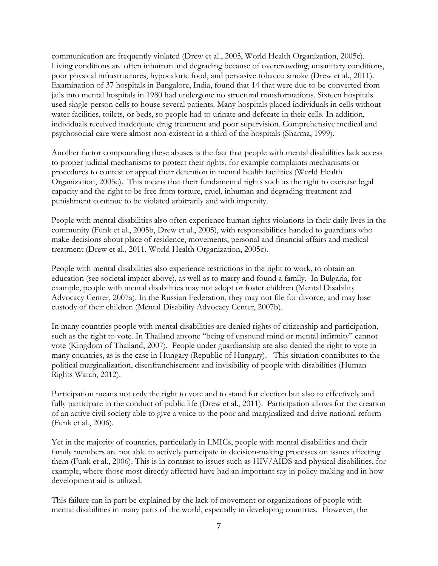communication are frequently violated [\(Drew et al., 2005,](#page-17-8) [World Health Organization, 2005c\)](#page-23-9). Living conditions are often inhuman and degrading because of overcrowding, unsanitary conditions, poor physical infrastructures, hypocaloric food, and pervasive tobacco smoke [\(Drew et al., 2011\)](#page-17-9). Examination of 37 hospitals in Bangalore, India, found that 14 that were due to be converted from jails into mental hospitals in 1980 had undergone no structural transformations. Sixteen hospitals used single-person cells to house several patients. Many hospitals placed individuals in cells without water facilities, toilets, or beds, so people had to urinate and defecate in their cells. In addition, individuals received inadequate drug treatment and poor supervision. Comprehensive medical and psychosocial care were almost non-existent in a third of the hospitals [\(Sharma, 1999\)](#page-22-12).

Another factor compounding these abuses is the fact that people with mental disabilities lack access to proper judicial mechanisms to protect their rights, for example complaints mechanisms or procedures to contest or appeal their detention in mental health facilities [\(World Health](#page-23-9)  [Organization, 2005c\)](#page-23-9). This means that their fundamental rights such as the right to exercise legal capacity and the right to be free from torture, cruel, inhuman and degrading treatment and punishment continue to be violated arbitrarily and with impunity.

People with mental disabilities also often experience human rights violations in their daily lives in the community [\(Funk et al., 2005b,](#page-18-9) [Drew et al., 2005\)](#page-17-8), with responsibilities handed to guardians who make decisions about place of residence, movements, personal and financial affairs and medical treatment [\(Drew et al., 2011,](#page-17-9) [World Health Organization, 2005c\)](#page-23-9).

People with mental disabilities also experience restrictions in the right to work, to obtain an education (see societal impact above), as well as to marry and found a family. In Bulgaria, for example, people with mental disabilities may not adopt or foster children [\(Mental Disability](#page-20-11)  [Advocacy Center, 2007a\)](#page-20-11). In the Russian Federation, they may not file for divorce, and may lose custody of their children [\(Mental Disability Advocacy Center, 2007b\)](#page-20-12).

In many countries people with mental disabilities are denied rights of citizenship and participation, such as the right to vote. In Thailand anyone "being of unsound mind or mental infirmity" cannot vote [\(Kingdom of Thailand, 2007\)](#page-19-13). People under guardianship are also denied the right to vote in many countries, as is the case in Hungary [\(Republic of Hungary\)](#page-22-12). This situation contributes to the political marginalization, disenfranchisement and invisibility of people with disabilities [\(Human](#page-19-14)  [Rights Watch, 2012\)](#page-19-14).

Participation means not only the right to vote and to stand for election but also to effectively and fully participate in the conduct of public life [\(Drew et al., 2011\)](#page-17-9). Participation allows for the creation of an active civil society able to give a voice to the poor and marginalized and drive national reform [\(Funk et al., 2006\)](#page-18-10).

Yet in the majority of countries, particularly in LMICs, people with mental disabilities and their family members are not able to actively participate in decision-making processes on issues affecting them [\(Funk et al., 2006\)](#page-18-10). This is in contrast to issues such as HIV/AIDS and physical disabilities, for example, where those most directly affected have had an important say in policy-making and in how development aid is utilized.

This failure can in part be explained by the lack of movement or organizations of people with mental disabilities in many parts of the world, especially in developing countries. However, the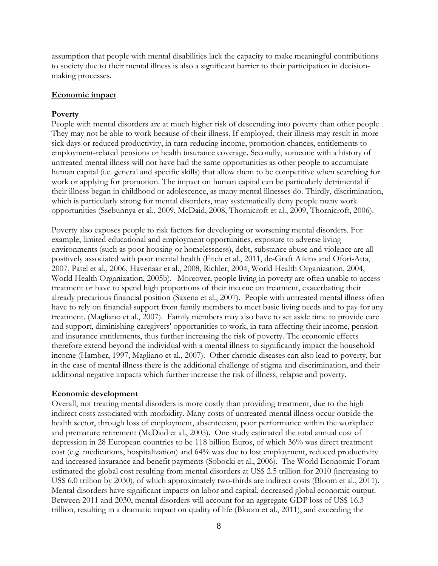assumption that people with mental disabilities lack the capacity to make meaningful contributions to society due to their mental illness is also a significant barrier to their participation in decisionmaking processes.

#### **Economic impact**

#### **Poverty**

People with mental disorders are at much higher risk of descending into poverty than other people . They may not be able to work because of their illness. If employed, their illness may result in more sick days or reduced productivity, in turn reducing income, promotion chances, entitlements to employment-related pensions or health insurance coverage. Secondly, someone with a history of untreated mental illness will not have had the same opportunities as other people to accumulate human capital (i.e. general and specific skills) that allow them to be competitive when searching for work or applying for promotion. The impact on human capital can be particularly detrimental if their illness began in childhood or adolescence, as many mental illnesses do. Thirdly, discrimination, which is particularly strong for mental disorders, may systematically deny people many work opportunities [\(Ssebunnya et al., 2009,](#page-22-10) [McDaid, 2008,](#page-20-10) [Thornicroft et al., 2009,](#page-23-7) [Thornicroft, 2006\)](#page-23-10).

Poverty also exposes people to risk factors for developing or worsening mental disorders. For example, limited educational and employment opportunities, exposure to adverse living environments (such as poor housing or homelessness), debt, substance abuse and violence are all positively associated with poor mental health (Fitch et al., 2011, [de-Graft Aikins and Ofori-Atta,](#page-17-4)  [2007,](#page-17-4) [Patel et al., 2006,](#page-21-11) [Havenaar et al., 2008,](#page-18-11) [Richler, 2004,](#page-22-8) [World Health Organization, 2004,](#page-23-11) [World Health Organization, 2005b\)](#page-23-12). Moreover, people living in poverty are often unable to access treatment or have to spend high proportions of their income on treatment, exacerbating their already precarious financial position [\(Saxena et al., 2007\)](#page-22-13). People with untreated mental illness often have to rely on financial support from family members to meet basic living needs and to pay for any treatment. [\(Magliano et al., 2007\)](#page-20-13). Family members may also have to set aside time to provide care and support, diminishing caregivers' opportunities to work, in turn affecting their income, pension and insurance entitlements, thus further increasing the risk of poverty. The economic effects therefore extend beyond the individual with a mental illness to significantly impact the household income [\(Hamber, 1997,](#page-18-12) [Magliano et al., 2007\)](#page-20-13). Other chronic diseases can also lead to poverty, but in the case of mental illness there is the additional challenge of stigma and discrimination, and their additional negative impacts which further increase the risk of illness, relapse and poverty.

#### **Economic development**

Overall, not treating mental disorders is more costly than providing treatment, due to the high indirect costs associated with morbidity. Many costs of untreated mental illness occur outside the health sector, through loss of employment, absenteeism, poor performance within the workplace and premature retirement [\(McDaid et al., 2005\)](#page-21-12). One study estimated the total annual cost of depression in 28 European countries to be 118 billion Euros, of which 36% was direct treatment cost (e.g. medications, hospitalization) and 64% was due to lost employment, reduced productivity and increased insurance and benefit payments [\(Sobocki et al., 2006\)](#page-23-13). The World Economic Forum estimated the global cost resulting from mental disorders at US\$ 2.5 trillion for 2010 (increasing to US\$ 6.0 trillion by 2030), of which approximately two-thirds are indirect costs [\(Bloom et al., 2011\)](#page-16-1). Mental disorders have significant impacts on labor and capital, decreased global economic output. Between 2011 and 2030, mental disorders will account for an aggregate GDP loss of US\$ 16.3 trillion, resulting in a dramatic impact on quality of life [\(Bloom et al., 2011\)](#page-16-1), and exceeding the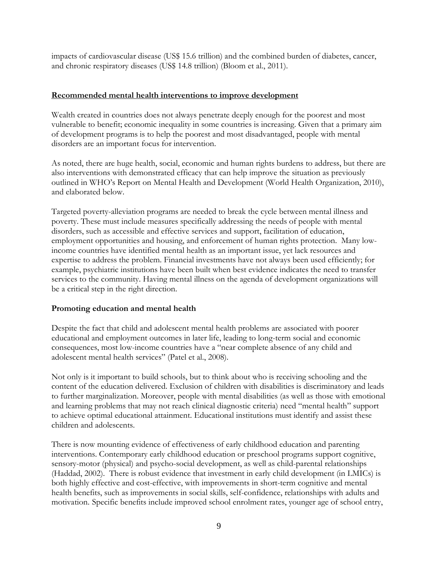impacts of cardiovascular disease (US\$ 15.6 trillion) and the combined burden of diabetes, cancer, and chronic respiratory diseases (US\$ 14.8 trillion) [\(Bloom et al., 2011\)](#page-16-1).

#### **Recommended mental health interventions to improve development**

Wealth created in countries does not always penetrate deeply enough for the poorest and most vulnerable to benefit; economic inequality in some countries is increasing. Given that a primary aim of development programs is to help the poorest and most disadvantaged, people with mental disorders are an important focus for intervention.

As noted, there are huge health, social, economic and human rights burdens to address, but there are also interventions with demonstrated efficacy that can help improve the situation as previously outlined in WHO's Report on Mental Health and Development (World Health Organization, 2010), and elaborated below.

Targeted poverty-alleviation programs are needed to break the cycle between mental illness and poverty. These must include measures specifically addressing the needs of people with mental disorders, such as accessible and effective services and support, facilitation of education, employment opportunities and housing, and enforcement of human rights protection. Many lowincome countries have identified mental health as an important issue, yet lack resources and expertise to address the problem. Financial investments have not always been used efficiently; for example, psychiatric institutions have been built when best evidence indicates the need to transfer services to the community. Having mental illness on the agenda of development organizations will be a critical step in the right direction.

#### **Promoting education and mental health**

Despite the fact that child and adolescent mental health problems are associated with poorer educational and employment outcomes in later life, leading to long-term social and economic consequences, most low-income countries have a "near complete absence of any child and adolescent mental health services" [\(Patel et al., 2008\)](#page-22-14).

Not only is it important to build schools, but to think about who is receiving schooling and the content of the education delivered. Exclusion of children with disabilities is discriminatory and leads to further marginalization. Moreover, people with mental disabilities (as well as those with emotional and learning problems that may not reach clinical diagnostic criteria) need "mental health" support to achieve optimal educational attainment. Educational institutions must identify and assist these children and adolescents.

There is now mounting evidence of effectiveness of early childhood education and parenting interventions. Contemporary early childhood education or preschool programs support cognitive, sensory-motor (physical) and psycho-social development, as well as child-parental relationships [\(Haddad, 2002\)](#page-19-0). There is robust evidence that investment in early child development (in LMICs) is both highly effective and cost-effective, with improvements in short-term cognitive and mental health benefits, such as improvements in social skills, self-confidence, relationships with adults and motivation. Specific benefits include improved school enrolment rates, younger age of school entry,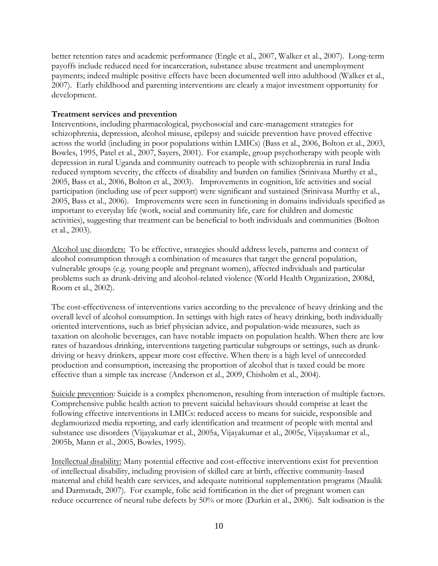better retention rates and academic performance [\(Engle et al., 2007,](#page-18-13) [Walker et al., 2007\)](#page-24-5). Long-term payoffs include reduced need for incarceration, substance abuse treatment and unemployment payments; indeed multiple positive effects have been documented well into adulthood [\(Walker et al.,](#page-24-5)  [2007\)](#page-24-5). Early childhood and parenting interventions are clearly a major investment opportunity for development.

#### **Treatment services and prevention**

Interventions, including pharmacological, psychosocial and care-management strategies for schizophrenia, depression, alcohol misuse, epilepsy and suicide prevention have proved effective across the world (including in poor populations within LMICs) [\(Bass et al., 2006,](#page-16-8) [Bolton et al., 2003,](#page-16-3) [Bowles, 1995,](#page-16-2) [Patel et al., 2007,](#page-22-8) [Sayers, 2001\)](#page-23-8). For example, group psychotherapy with people with depression in rural Uganda and community outreach to people with schizophrenia in rural India reduced symptom severity, the effects of disability and burden on families [\(Srinivasa Murthy et al.,](#page-23-14)  [2005,](#page-23-14) [Bass et al., 2006,](#page-16-8) [Bolton et al., 2003\)](#page-16-3). Improvements in cognition, life activities and social participation (including use of peer support) were significant and sustained [\(Srinivasa Murthy et al.,](#page-23-14)  [2005,](#page-23-14) [Bass et al., 2006\)](#page-16-8). Improvements were seen in functioning in domains individuals specified as important to everyday life (work, social and community life, care for children and domestic activities), suggesting that treatment can be beneficial to both individuals and communities [\(Bolton](#page-16-3)  [et al., 2003\)](#page-16-3).

Alcohol use disorders: To be effective, strategies should address levels, patterns and context of alcohol consumption through a combination of measures that target the general population, vulnerable groups (e.g. young people and pregnant women), affected individuals and particular problems such as drunk-driving and alcohol-related violence (World Health Organization, 2008d, [Room et al., 2002\)](#page-23-15).

The cost-effectiveness of interventions varies according to the prevalence of heavy drinking and the overall level of alcohol consumption. In settings with high rates of heavy drinking, both individually oriented interventions, such as brief physician advice, and population-wide measures, such as taxation on alcoholic beverages, can have notable impacts on population health. When there are low rates of hazardous drinking, interventions targeting particular subgroups or settings, such as drunkdriving or heavy drinkers, appear more cost effective. When there is a high level of unrecorded production and consumption, increasing the proportion of alcohol that is taxed could be more effective than a simple tax increase [\(Anderson et al., 2009,](#page-15-1) [Chisholm et al.,](#page-17-7) 2004).

Suicide prevention: Suicide is a complex phenomenon, resulting from interaction of multiple factors. Comprehensive public health action to prevent suicidal behaviours should comprise at least the following effective interventions in LMICs: reduced access to means for suicide, responsible and deglamourized media reporting, and early identification and treatment of people with mental and substance use disorders [\(Vijayakumar et al., 2005a,](#page-24-3) [Vijayakumar et al., 2005c,](#page-24-4) [Vijayakumar et al.,](#page-24-6)  [2005b,](#page-24-6) [Mann et al., 2005,](#page-20-12) [Bowles, 1995\)](#page-16-2).

Intellectual disability: Many potential effective and cost-effective interventions exist for prevention of intellectual disability, including provision of skilled care at birth, effective community-based maternal and child health care services, and adequate nutritional supplementation programs [\(Maulik](#page-20-6)  [and Darmstadt, 2007\)](#page-20-6). For example, folic acid fortification in the diet of pregnant women can reduce occurrence of neural tube defects by 50% or more [\(Durkin et al., 2006\)](#page-18-5). Salt iodisation is the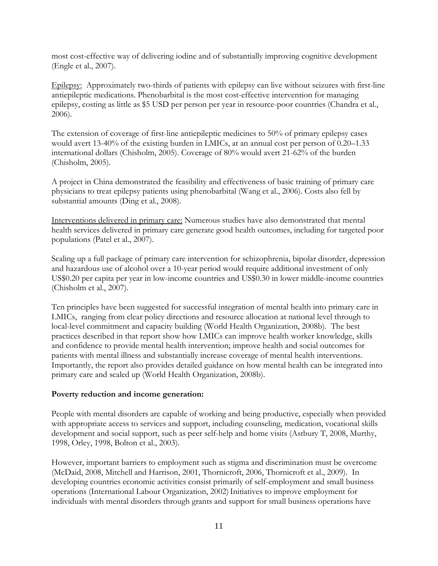most cost-effective way of delivering iodine and of substantially improving cognitive development [\(Engle et al., 2007\)](#page-18-13).

Epilepsy: Approximately two-thirds of patients with epilepsy can live without seizures with first-line antiepileptic medications. Phenobarbital is the most cost-effective intervention for managing epilepsy, costing as little as \$5 USD per person per year in resource-poor countries [\(Chandra et al.,](#page-17-1)  [2006\)](#page-17-1).

The extension of coverage of first-line antiepileptic medicines to 50% of primary epilepsy cases would avert 13-40% of the existing burden in LMICs, at an annual cost per person of 0.20–1.33 international dollars [\(Chisholm, 2005\)](#page-17-2). Coverage of 80% would avert 21-62% of the burden [\(Chisholm, 2005\)](#page-17-2).

A project in China demonstrated the feasibility and effectiveness of basic training of primary care physicians to treat epilepsy patients using phenobarbital (Wang et al., 2006). Costs also fell by substantial amounts [\(Ding et al., 2008\)](#page-18-0).

Interventions delivered in primary care: Numerous studies have also demonstrated that mental health services delivered in primary care generate good health outcomes, including for targeted poor populations [\(Patel et al., 2007\)](#page-22-8).

Scaling up a full package of primary care intervention for schizophrenia, bipolar disorder, depression and hazardous use of alcohol over a 10-year period would require additional investment of only US\$0.20 per capita per year in low-income countries and US\$0.30 in lower middle-income countries [\(Chisholm et al., 2007\)](#page-17-10).

Ten principles have been suggested for successful integration of mental health into primary care in LMICs, ranging from clear policy directions and resource allocation at national level through to local-level commitment and capacity building (World Health Organization, 2008b). The best practices described in that report show how LMICs can improve health worker knowledge, skills and confidence to provide mental health intervention; improve health and social outcomes for patients with mental illness and substantially increase coverage of mental health interventions. Importantly, the report also provides detailed guidance on how mental health can be integrated into primary care and scaled up (World Health Organization, 2008b).

#### **Poverty reduction and income generation:**

People with mental disorders are capable of working and being productive, especially when provided with appropriate access to services and support, including counseling, medication, vocational skills development and social support, such as peer self-help and home visits [\(Astbury T, 2008,](#page-15-13) [Murthy,](#page-21-0)  [1998,](#page-21-0) [Orley, 1998,](#page-22-15) [Bolton et al., 2003\)](#page-16-3).

However, important barriers to employment such as stigma and discrimination must be overcome [\(McDaid, 2008,](#page-20-3) [Mitchell and Harrison, 2001,](#page-21-13) Thornicroft, 2006, [Thornicroft et al., 2009\)](#page-23-11). In developing countries economic activities consist primarily of self-employment and small business operations [\(International Labour Organization, 2002\)](#page-19-5) Initiatives to improve employment for individuals with mental disorders through grants and support for small business operations have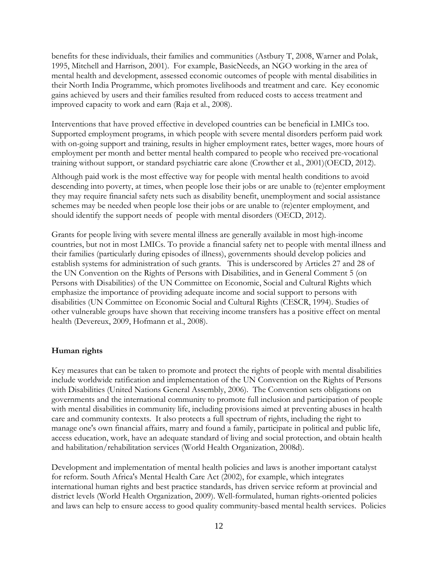benefits for these individuals, their families and communities [\(Astbury T, 2008,](#page-15-13) Warner and Polak, 1995, [Mitchell and Harrison, 2001\)](#page-21-13). For example, BasicNeeds, an NGO working in the area of mental health and development, assessed economic outcomes of people with mental disabilities in their North India Programme, which promotes livelihoods and treatment and care. Key economic gains achieved by users and their families resulted from reduced costs to access treatment and improved capacity to work and earn [\(Raja et al., 2008\)](#page-22-5).

Interventions that have proved effective in developed countries can be beneficial in LMICs too. Supported employment programs, in which people with severe mental disorders perform paid work with on-going support and training, results in higher employment rates, better wages, more hours of employment per month and better mental health compared to people who received pre-vocational training without support, or standard psychiatric care alone [\(Crowther et al., 2001\)](#page-17-8)[\(OECD, 2012\)](#page-21-10).

Although paid work is the most effective way for people with mental health conditions to avoid descending into poverty, at times, when people lose their jobs or are unable to (re)enter employment they may require financial safety nets such as disability benefit, unemployment and social assistance schemes may be needed when people lose their jobs or are unable to (re)enter employment, and should identify the support needs of people with mental disorders [\(OECD, 2012\)](#page-21-10).

Grants for people living with severe mental illness are generally available in most high-income countries, but not in most LMICs. To provide a financial safety net to people with mental illness and their families (particularly during episodes of illness), governments should develop policies and establish systems for administration of such grants. This is underscored by Articles 27 and 28 of the UN Convention on the Rights of Persons with Disabilities, and in General Comment 5 (on Persons with Disabilities) of the UN Committee on Economic, Social and Cultural Rights which emphasize the importance of providing adequate income and social support to persons with disabilities [\(UN Committee on Economic Social and Cultural Rights \(CESCR, 1994\)](#page-23-9). Studies of other vulnerable groups have shown that receiving income transfers has a positive effect on mental health [\(Devereux, 2009,](#page-17-5) [Hofmann et al., 2008\)](#page-19-6).

#### **Human rights**

Key measures that can be taken to promote and protect the rights of people with mental disabilities include worldwide ratification and implementation of the UN Convention on the Rights of Persons with Disabilities [\(United Nations General Assembly, 2006\)](#page-24-2). The Convention sets obligations on governments and the international community to promote full inclusion and participation of people with mental disabilities in community life, including provisions aimed at preventing abuses in health care and community contexts. It also protects a full spectrum of rights, including the right to manage one's own financial affairs, marry and found a family, participate in political and public life, access education, work, have an adequate standard of living and social protection, and obtain health and habilitation/rehabilitation services (World Health Organization, 2008d).

Development and implementation of mental health policies and laws is another important catalyst for reform. South Africa's Mental Health Care Act (2002), for example, which integrates international human rights and best practice standards, has driven service reform at provincial and district levels (World Health Organization, 2009). Well-formulated, human rights-oriented policies and laws can help to ensure access to good quality community-based mental health services. Policies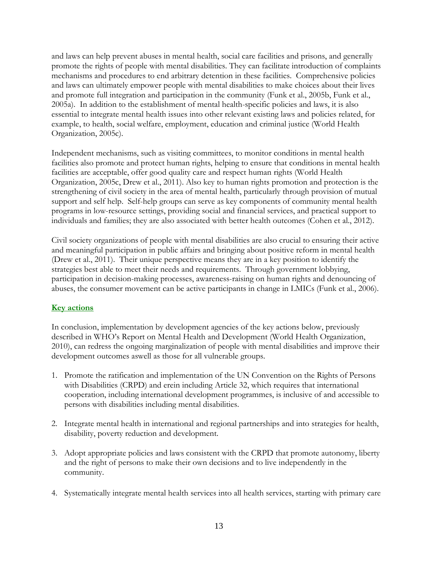and laws can help prevent abuses in mental health, social care facilities and prisons, and generally promote the rights of people with mental disabilities. They can facilitate introduction of complaints mechanisms and procedures to end arbitrary detention in these facilities. Comprehensive policies and laws can ultimately empower people with mental disabilities to make choices about their lives and promote full integration and participation in the community [\(Funk et al., 2005b,](#page-18-11) [Funk et al.,](#page-18-8)  [2005a\)](#page-18-8). In addition to the establishment of mental health-specific policies and laws, it is also essential to integrate mental health issues into other relevant existing laws and policies related, for example, to health, social welfare, employment, education and criminal justice (World Health Organization, 2005c).

Independent mechanisms, such as visiting committees, to monitor conditions in mental health facilities also promote and protect human rights, helping to ensure that conditions in mental health facilities are acceptable, offer good quality care and respect human rights (World Health Organization, 2005c, [Drew et al., 2011\)](#page-18-2). Also key to human rights promotion and protection is the strengthening of civil society in the area of mental health, particularly through provision of mutual support and self help. Self-help groups can serve as key components of community mental health programs in low-resource settings, providing social and financial services, and practical support to individuals and families; they are also associated with better health outcomes [\(Cohen et al., 2012\)](#page-17-4).

Civil society organizations of people with mental disabilities are also crucial to ensuring their active and meaningful participation in public affairs and bringing about positive reform in mental health [\(Drew et al., 2011\)](#page-18-2). Their unique perspective means they are in a key position to identify the strategies best able to meet their needs and requirements. Through government lobbying, participation in decision-making processes, awareness-raising on human rights and denouncing of abuses, the consumer movement can be active participants in change in LMICs [\(Funk et al., 2006\)](#page-18-1).

#### **Key actions**

In conclusion, implementation by development agencies of the key actions below, previously described in WHO's Report on Mental Health and Development (World Health Organization, 2010), can redress the ongoing marginalization of people with mental disabilities and improve their development outcomes aswell as those for all vulnerable groups.

- 1. Promote the ratification and implementation of the UN Convention on the Rights of Persons with Disabilities (CRPD) and erein including Article 32, which requires that international cooperation, including international development programmes, is inclusive of and accessible to persons with disabilities including mental disabilities.
- 2. Integrate mental health in international and regional partnerships and into strategies for health, disability, poverty reduction and development.
- 3. Adopt appropriate policies and laws consistent with the CRPD that promote autonomy, liberty and the right of persons to make their own decisions and to live independently in the community.
- 4. Systematically integrate mental health services into all health services, starting with primary care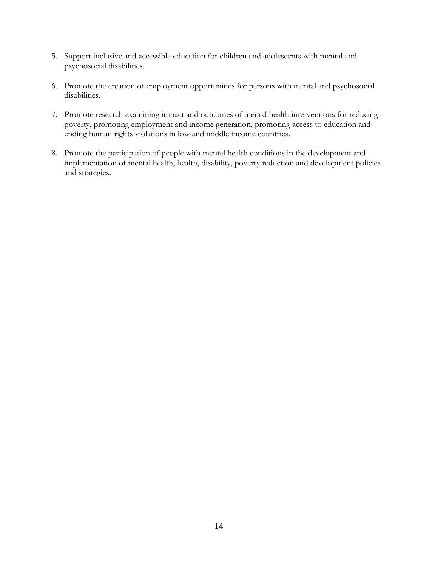- 5. Support inclusive and accessible education for children and adolescents with mental and psychosocial disabilities.
- 6. Promote the creation of employment opportunities for persons with mental and psychosocial disabilities.
- 7. Promote research examining impact and outcomes of mental health interventions for reducing poverty, promoting employment and income generation, promoting access to education and ending human rights violations in low and middle income countries.
- 8. Promote the participation of people with mental health conditions in the development and implementation of mental health, health, disability, poverty reduction and development policies and strategies.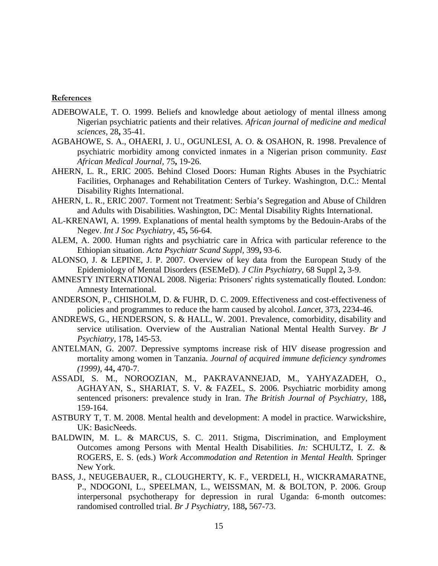#### **References**

- <span id="page-15-12"></span>ADEBOWALE, T. O. 1999. Beliefs and knowledge about aetiology of mental illness among Nigerian psychiatric patients and their relatives. *African journal of medicine and medical sciences,* 28**,** 35-41.
- <span id="page-15-6"></span>AGBAHOWE, S. A., OHAERI, J. U., OGUNLESI, A. O. & OSAHON, R. 1998. Prevalence of psychiatric morbidity among convicted inmates in a Nigerian prison community. *East African Medical Journal,* 75**,** 19-26.
- <span id="page-15-4"></span>AHERN, L. R., ERIC 2005. Behind Closed Doors: Human Rights Abuses in the Psychiatric Facilities, Orphanages and Rehabilitation Centers of Turkey. Washington, D.C.: Mental Disability Rights International.
- <span id="page-15-3"></span>AHERN, L. R., ERIC 2007. Torment not Treatment: Serbia's Segregation and Abuse of Children and Adults with Disabilities. Washington, DC: Mental Disability Rights International.
- <span id="page-15-10"></span>AL-KRENAWI, A. 1999. Explanations of mental health symptoms by the Bedouin-Arabs of the Negev. *Int J Soc Psychiatry,* 45**,** 56-64.
- <span id="page-15-11"></span>ALEM, A. 2000. Human rights and psychiatric care in Africa with particular reference to the Ethiopian situation. *Acta Psychiatr Scand Suppl,* 399**,** 93-6.
- <span id="page-15-2"></span>ALONSO, J. & LEPINE, J. P. 2007. Overview of key data from the European Study of the Epidemiology of Mental Disorders (ESEMeD). *J Clin Psychiatry,* 68 Suppl 2**,** 3-9.
- <span id="page-15-7"></span>AMNESTY INTERNATIONAL 2008. Nigeria: Prisoners' rights systematically flouted. London: Amnesty International.
- ANDERSON, P., CHISHOLM, D. & FUHR, D. C. 2009. Effectiveness and cost-effectiveness of policies and programmes to reduce the harm caused by alcohol. *Lancet,* 373**,** 2234-46.
- <span id="page-15-1"></span>ANDREWS, G., HENDERSON, S. & HALL, W. 2001. Prevalence, comorbidity, disability and service utilisation. Overview of the Australian National Mental Health Survey. *Br J Psychiatry,* 178**,** 145-53.
- <span id="page-15-0"></span>ANTELMAN, G. 2007. Depressive symptoms increase risk of HIV disease progression and mortality among women in Tanzania. *Journal of acquired immune deficiency syndromes (1999),* 44**,** 470-7.
- <span id="page-15-5"></span>ASSADI, S. M., NOROOZIAN, M., PAKRAVANNEJAD, M., YAHYAZADEH, O., AGHAYAN, S., SHARIAT, S. V. & FAZEL, S. 2006. Psychiatric morbidity among sentenced prisoners: prevalence study in Iran. *The British Journal of Psychiatry,* 188**,** 159-164.
- <span id="page-15-8"></span>ASTBURY T, T. M. 2008. Mental health and development: A model in practice. Warwickshire, UK: BasicNeeds.
- <span id="page-15-9"></span>BALDWIN, M. L. & MARCUS, S. C. 2011. Stigma, Discrimination, and Employment Outcomes among Persons with Mental Health Disabilities. *In:* SCHULTZ, I. Z. & ROGERS, E. S. (eds.) *Work Accommodation and Retention in Mental Health.* Springer New York.
- <span id="page-15-13"></span>BASS, J., NEUGEBAUER, R., CLOUGHERTY, K. F., VERDELI, H., WICKRAMARATNE, P., NDOGONI, L., SPEELMAN, L., WEISSMAN, M. & BOLTON, P. 2006. Group interpersonal psychotherapy for depression in rural Uganda: 6-month outcomes: randomised controlled trial. *Br J Psychiatry,* 188**,** 567-73.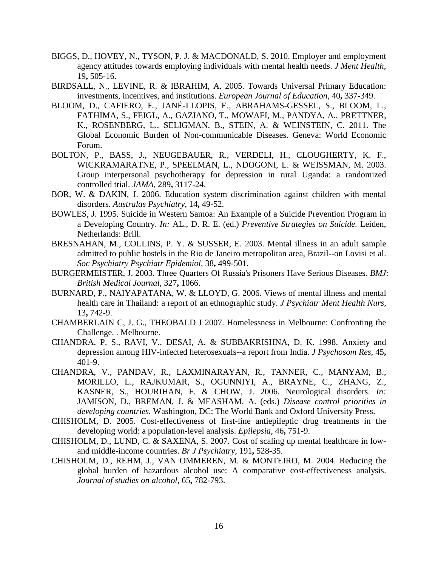- <span id="page-16-6"></span>BIGGS, D., HOVEY, N., TYSON, P. J. & MACDONALD, S. 2010. Employer and employment agency attitudes towards employing individuals with mental health needs. *J Ment Health,* 19**,** 505-16.
- <span id="page-16-4"></span>BIRDSALL, N., LEVINE, R. & IBRAHIM, A. 2005. Towards Universal Primary Education: investments, incentives, and institutions. *European Journal of Education,* 40**,** 337-349.
- <span id="page-16-8"></span>BLOOM, D., CAFIERO, E., JANÉ-LLOPIS, E., ABRAHAMS-GESSEL, S., BLOOM, L., FATHIMA, S., FEIGL, A., GAZIANO, T., MOWAFI, M., PANDYA, A., PRETTNER, K., ROSENBERG, L., SELIGMAN, B., STEIN, A. & WEINSTEIN, C. 2011. The Global Economic Burden of Non-communicable Diseases. Geneva: World Economic Forum.
- BOLTON, P., BASS, J., NEUGEBAUER, R., VERDELI, H., CLOUGHERTY, K. F., WICKRAMARATNE, P., SPEELMAN, L., NDOGONI, L. & WEISSMAN, M. 2003. Group interpersonal psychotherapy for depression in rural Uganda: a randomized controlled trial. *JAMA,* 289**,** 3117-24.
- <span id="page-16-5"></span>BOR, W. & DAKIN, J. 2006. Education system discrimination against children with mental disorders. *Australas Psychiatry,* 14**,** 49-52.
- BOWLES, J. 1995. Suicide in Western Samoa: An Example of a Suicide Prevention Program in a Developing Country. *In:* AL., D. R. E. (ed.) *Preventive Strategies on Suicide.* Leiden, Netherlands: Brill.
- <span id="page-16-1"></span>BRESNAHAN, M., COLLINS, P. Y. & SUSSER, E. 2003. Mental illness in an adult sample admitted to public hostels in the Rio de Janeiro metropolitan area, Brazil--on Lovisi et al. *Soc Psychiatry Psychiatr Epidemiol,* 38**,** 499-501.
- <span id="page-16-3"></span>BURGERMEISTER, J. 2003. Three Quarters Of Russia's Prisoners Have Serious Diseases. *BMJ: British Medical Journal,* 327**,** 1066.
- <span id="page-16-7"></span>BURNARD, P., NAIYAPATANA, W. & LLOYD, G. 2006. Views of mental illness and mental health care in Thailand: a report of an ethnographic study. *J Psychiatr Ment Health Nurs,* 13**,** 742-9.
- <span id="page-16-2"></span>CHAMBERLAIN C, J. G., THEOBALD J 2007. Homelessness in Melbourne: Confronting the Challenge. . Melbourne.
- <span id="page-16-0"></span>CHANDRA, P. S., RAVI, V., DESAI, A. & SUBBAKRISHNA, D. K. 1998. Anxiety and depression among HIV-infected heterosexuals--a report from India. *J Psychosom Res,* 45**,** 401-9.
- CHANDRA, V., PANDAV, R., LAXMINARAYAN, R., TANNER, C., MANYAM, B., MORILLO, L., RAJKUMAR, S., OGUNNIYI, A., BRAYNE, C., ZHANG, Z., KASNER, S., HOURIHAN, F. & CHOW, J. 2006. Neurological disorders. *In:* JAMISON, D., BREMAN, J. & MEASHAM, A. (eds.) *Disease control priorities in developing countries.* Washington, DC: The World Bank and Oxford University Press.
- CHISHOLM, D. 2005. Cost-effectiveness of first-line antiepileptic drug treatments in the developing world: a population-level analysis. *Epilepsia,* 46**,** 751-9.
- CHISHOLM, D., LUND, C. & SAXENA, S. 2007. Cost of scaling up mental healthcare in lowand middle-income countries. *Br J Psychiatry,* 191**,** 528-35.
- CHISHOLM, D., REHM, J., VAN OMMEREN, M. & MONTEIRO, M. 2004. Reducing the global burden of hazardous alcohol use: A comparative cost-effectiveness analysis. *Journal of studies on alcohol,* 65**,** 782-793.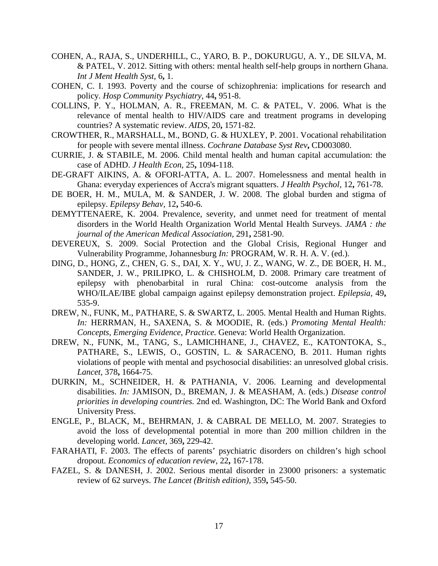- COHEN, A., RAJA, S., UNDERHILL, C., YARO, B. P., DOKURUGU, A. Y., DE SILVA, M. & PATEL, V. 2012. Sitting with others: mental health self-help groups in northern Ghana. *Int J Ment Health Syst,* 6**,** 1.
- <span id="page-17-1"></span>COHEN, C. I. 1993. Poverty and the course of schizophrenia: implications for research and policy. *Hosp Community Psychiatry,* 44**,** 951-8.
- <span id="page-17-2"></span>COLLINS, P. Y., HOLMAN, A. R., FREEMAN, M. C. & PATEL, V. 2006. What is the relevance of mental health to HIV/AIDS care and treatment programs in developing countries? A systematic review. *AIDS,* 20**,** 1571-82.
- <span id="page-17-10"></span>CROWTHER, R., MARSHALL, M., BOND, G. & HUXLEY, P. 2001. Vocational rehabilitation for people with severe mental illness. *Cochrane Database Syst Rev***,** CD003080.
- <span id="page-17-7"></span>CURRIE, J. & STABILE, M. 2006. Child mental health and human capital accumulation: the case of ADHD. *J Health Econ,* 25**,** 1094-118.
- <span id="page-17-4"></span>DE-GRAFT AIKINS, A. & OFORI-ATTA, A. L. 2007. Homelessness and mental health in Ghana: everyday experiences of Accra's migrant squatters. *J Health Psychol,* 12**,** 761-78.
- <span id="page-17-0"></span>DE BOER, H. M., MULA, M. & SANDER, J. W. 2008. The global burden and stigma of epilepsy. *Epilepsy Behav,* 12**,** 540-6.
- <span id="page-17-3"></span>DEMYTTENAERE, K. 2004. Prevalence, severity, and unmet need for treatment of mental disorders in the World Health Organization World Mental Health Surveys. *JAMA : the journal of the American Medical Association,* 291**,** 2581-90.
- DEVEREUX, S. 2009. Social Protection and the Global Crisis, Regional Hunger and Vulnerability Programme, Johannesburg *In:* PROGRAM, W. R. H. A. V. (ed.).
- DING, D., HONG, Z., CHEN, G. S., DAI, X. Y., WU, J. Z., WANG, W. Z., DE BOER, H. M., SANDER, J. W., PRILIPKO, L. & CHISHOLM, D. 2008. Primary care treatment of epilepsy with phenobarbital in rural China: cost-outcome analysis from the WHO/ILAE/IBE global campaign against epilepsy demonstration project. *Epilepsia,* 49**,** 535-9.
- <span id="page-17-8"></span>DREW, N., FUNK, M., PATHARE, S. & SWARTZ, L. 2005. Mental Health and Human Rights. *In:* HERRMAN, H., SAXENA, S. & MOODIE, R. (eds.) *Promoting Mental Health: Concepts, Emerging Evidence, Practice.* Geneva: World Health Organization.
- <span id="page-17-9"></span>DREW, N., FUNK, M., TANG, S., LAMICHHANE, J., CHAVEZ, E., KATONTOKA, S., PATHARE, S., LEWIS, O., GOSTIN, L. & SARACENO, B. 2011. Human rights violations of people with mental and psychosocial disabilities: an unresolved global crisis. *Lancet,* 378**,** 1664-75.
- DURKIN, M., SCHNEIDER, H. & PATHANIA, V. 2006. Learning and developmental disabilities. *In:* JAMISON, D., BREMAN, J. & MEASHAM, A. (eds.) *Disease control priorities in developing countries.* 2nd ed. Washington, DC: The World Bank and Oxford University Press.
- ENGLE, P., BLACK, M., BEHRMAN, J. & CABRAL DE MELLO, M. 2007. Strategies to avoid the loss of developmental potential in more than 200 million children in the developing world. *Lancet,* 369**,** 229-42.
- <span id="page-17-6"></span>FARAHATI, F. 2003. The effects of parents' psychiatric disorders on children's high school dropout. *Economics of education review,* 22**,** 167-178.
- <span id="page-17-5"></span>FAZEL, S. & DANESH, J. 2002. Serious mental disorder in 23000 prisoners: a systematic review of 62 surveys. *The Lancet (British edition),* 359**,** 545-50.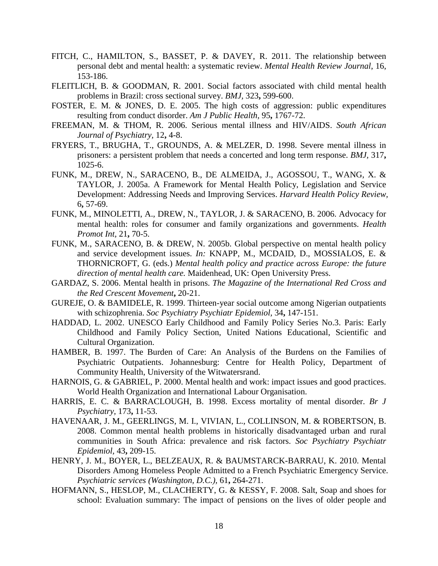- FITCH, C., HAMILTON, S., BASSET, P. & DAVEY, R. 2011. The relationship between personal debt and mental health: a systematic review. *Mental Health Review Journal*, 16, 153-186.
- <span id="page-18-0"></span>FLEITLICH, B. & GOODMAN, R. 2001. Social factors associated with child mental health problems in Brazil: cross sectional survey. *BMJ,* 323**,** 599-600.
- <span id="page-18-7"></span>FOSTER, E. M. & JONES, D. E. 2005. The high costs of aggression: public expenditures resulting from conduct disorder. *Am J Public Health,* 95**,** 1767-72.
- <span id="page-18-2"></span>FREEMAN, M. & THOM, R. 2006. Serious mental illness and HIV/AIDS. *South African Journal of Psychiatry,* 12**,** 4-8.
- <span id="page-18-5"></span>FRYERS, T., BRUGHA, T., GROUNDS, A. & MELZER, D. 1998. Severe mental illness in prisoners: a persistent problem that needs a concerted and long term response. *BMJ,* 317**,** 1025-6.
- <span id="page-18-13"></span>FUNK, M., DREW, N., SARACENO, B., DE ALMEIDA, J., AGOSSOU, T., WANG, X. & TAYLOR, J. 2005a. A Framework for Mental Health Policy, Legislation and Service Development: Addressing Needs and Improving Services. *Harvard Health Policy Review,* 6**,** 57-69.
- <span id="page-18-10"></span>FUNK, M., MINOLETTI, A., DREW, N., TAYLOR, J. & SARACENO, B. 2006. Advocacy for mental health: roles for consumer and family organizations and governments. *Health Promot Int,* 21**,** 70-5.
- <span id="page-18-9"></span>FUNK, M., SARACENO, B. & DREW, N. 2005b. Global perspective on mental health policy and service development issues. *In:* KNAPP, M., MCDAID, D., MOSSIALOS, E. & THORNICROFT, G. (eds.) *Mental health policy and practice across Europe: the future direction of mental health care.* Maidenhead, UK: Open University Press.
- <span id="page-18-6"></span>GARDAZ, S. 2006. Mental health in prisons. *The Magazine of the International Red Cross and the Red Crescent Movement***,** 20-21.
- <span id="page-18-4"></span>GUREJE, O. & BAMIDELE, R. 1999. Thirteen-year social outcome among Nigerian outpatients with schizophrenia. *Soc Psychiatry Psychiatr Epidemiol,* 34**,** 147-151.
- HADDAD, L. 2002. UNESCO Early Childhood and Family Policy Series No.3. Paris: Early Childhood and Family Policy Section, United Nations Educational, Scientific and Cultural Organization.
- <span id="page-18-12"></span>HAMBER, B. 1997. The Burden of Care: An Analysis of the Burdens on the Families of Psychiatric Outpatients. Johannesburg: Centre for Health Policy, Department of Community Health, University of the Witwatersrand.
- <span id="page-18-8"></span>HARNOIS, G. & GABRIEL, P. 2000. Mental health and work: impact issues and good practices. World Health Organization and International Labour Organisation.
- <span id="page-18-1"></span>HARRIS, E. C. & BARRACLOUGH, B. 1998. Excess mortality of mental disorder. *Br J Psychiatry,* 173**,** 11-53.
- <span id="page-18-11"></span>HAVENAAR, J. M., GEERLINGS, M. I., VIVIAN, L., COLLINSON, M. & ROBERTSON, B. 2008. Common mental health problems in historically disadvantaged urban and rural communities in South Africa: prevalence and risk factors. *Soc Psychiatry Psychiatr Epidemiol,* 43**,** 209-15.
- <span id="page-18-3"></span>HENRY, J. M., BOYER, L., BELZEAUX, R. & BAUMSTARCK-BARRAU, K. 2010. Mental Disorders Among Homeless People Admitted to a French Psychiatric Emergency Service. *Psychiatric services (Washington, D.C.),* 61**,** 264-271.
- HOFMANN, S., HESLOP, M., CLACHERTY, G. & KESSY, F. 2008. Salt, Soap and shoes for school: Evaluation summary: The impact of pensions on the lives of older people and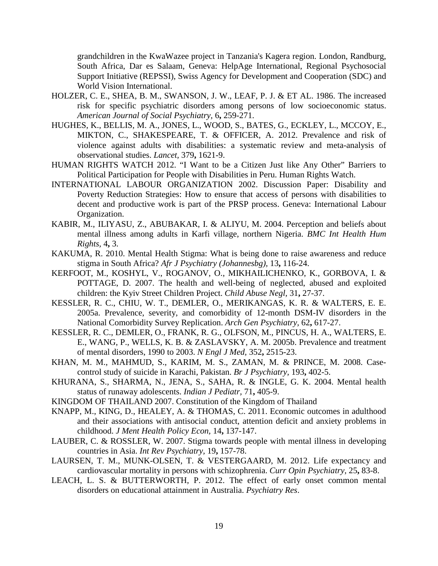grandchildren in the KwaWazee project in Tanzania's Kagera region. London, Randburg, South Africa, Dar es Salaam, Geneva: HelpAge International, Regional Psychosocial Support Initiative (REPSSI), Swiss Agency for Development and Cooperation (SDC) and World Vision International.

- <span id="page-19-0"></span>HOLZER, C. E., SHEA, B. M., SWANSON, J. W., LEAF, P. J. & ET AL. 1986. The increased risk for specific psychiatric disorders among persons of low socioeconomic status. *American Journal of Social Psychiatry,* 6**,** 259-271.
- <span id="page-19-11"></span>HUGHES, K., BELLIS, M. A., JONES, L., WOOD, S., BATES, G., ECKLEY, L., MCCOY, E., MIKTON, C., SHAKESPEARE, T. & OFFICER, A. 2012. Prevalence and risk of violence against adults with disabilities: a systematic review and meta-analysis of observational studies. *Lancet,* 379**,** 1621-9.
- <span id="page-19-14"></span>HUMAN RIGHTS WATCH 2012. "I Want to be a Citizen Just like Any Other" Barriers to Political Participation for People with Disabilities in Peru. Human Rights Watch.
- INTERNATIONAL LABOUR ORGANIZATION 2002. Discussion Paper: Disability and Poverty Reduction Strategies: How to ensure that access of persons with disabilities to decent and productive work is part of the PRSP process. Geneva: International Labour Organization.
- <span id="page-19-10"></span>KABIR, M., ILIYASU, Z., ABUBAKAR, I. & ALIYU, M. 2004. Perception and beliefs about mental illness among adults in Karfi village, northern Nigeria. *BMC Int Health Hum Rights,* 4**,** 3.
- <span id="page-19-12"></span>KAKUMA, R. 2010. Mental Health Stigma: What is being done to raise awareness and reduce stigma in South Africa? *Afr J Psychiatry (Johannesbg),* 13**,** 116-24.
- <span id="page-19-6"></span>KERFOOT, M., KOSHYL, V., ROGANOV, O., MIKHAILICHENKO, K., GORBOVA, I. & POTTAGE, D. 2007. The health and well-being of neglected, abused and exploited children: the Kyiv Street Children Project. *Child Abuse Negl,* 31**,** 27-37.
- <span id="page-19-3"></span>KESSLER, R. C., CHIU, W. T., DEMLER, O., MERIKANGAS, K. R. & WALTERS, E. E. 2005a. Prevalence, severity, and comorbidity of 12-month DSM-IV disorders in the National Comorbidity Survey Replication. *Arch Gen Psychiatry,* 62**,** 617-27.
- <span id="page-19-4"></span>KESSLER, R. C., DEMLER, O., FRANK, R. G., OLFSON, M., PINCUS, H. A., WALTERS, E. E., WANG, P., WELLS, K. B. & ZASLAVSKY, A. M. 2005b. Prevalence and treatment of mental disorders, 1990 to 2003. *N Engl J Med,* 352**,** 2515-23.
- <span id="page-19-1"></span>KHAN, M. M., MAHMUD, S., KARIM, M. S., ZAMAN, M. & PRINCE, M. 2008. Casecontrol study of suicide in Karachi, Pakistan. *Br J Psychiatry,* 193**,** 402-5.
- <span id="page-19-5"></span>KHURANA, S., SHARMA, N., JENA, S., SAHA, R. & INGLE, G. K. 2004. Mental health status of runaway adolescents. *Indian J Pediatr,* 71**,** 405-9.
- <span id="page-19-13"></span>KINGDOM OF THAILAND 2007. Constitution of the Kingdom of Thailand
- <span id="page-19-8"></span>KNAPP, M., KING, D., HEALEY, A. & THOMAS, C. 2011. Economic outcomes in adulthood and their associations with antisocial conduct, attention deficit and anxiety problems in childhood. *J Ment Health Policy Econ,* 14**,** 137-147.
- <span id="page-19-9"></span>LAUBER, C. & ROSSLER, W. 2007. Stigma towards people with mental illness in developing countries in Asia. *Int Rev Psychiatry,* 19**,** 157-78.
- <span id="page-19-2"></span>LAURSEN, T. M., MUNK-OLSEN, T. & VESTERGAARD, M. 2012. Life expectancy and cardiovascular mortality in persons with schizophrenia. *Curr Opin Psychiatry,* 25**,** 83-8.
- <span id="page-19-7"></span>LEACH, L. S. & BUTTERWORTH, P. 2012. The effect of early onset common mental disorders on educational attainment in Australia. *Psychiatry Res*.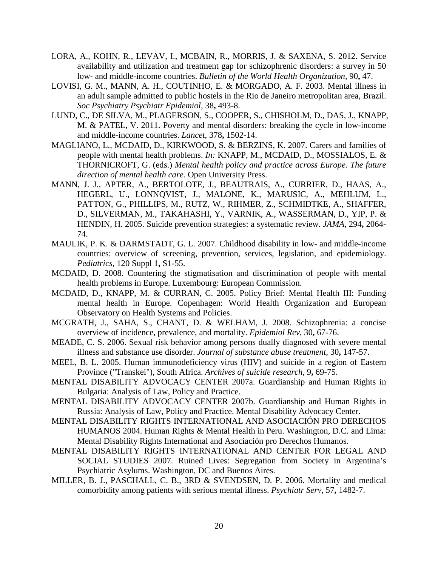- <span id="page-20-5"></span>LORA, A., KOHN, R., LEVAV, I., MCBAIN, R., MORRIS, J. & SAXENA, S. 2012. Service availability and utilization and treatment gap for schizophrenic disorders: a survey in 50 low- and middle-income countries. *Bulletin of the World Health Organization,* 90**,** 47.
- <span id="page-20-7"></span>LOVISI, G. M., MANN, A. H., COUTINHO, E. & MORGADO, A. F. 2003. Mental illness in an adult sample admitted to public hostels in the Rio de Janeiro metropolitan area, Brazil. *Soc Psychiatry Psychiatr Epidemiol,* 38**,** 493-8.
- <span id="page-20-0"></span>LUND, C., DE SILVA, M., PLAGERSON, S., COOPER, S., CHISHOLM, D., DAS, J., KNAPP, M. & PATEL, V. 2011. Poverty and mental disorders: breaking the cycle in low-income and middle-income countries. *Lancet,* 378**,** 1502-14.
- <span id="page-20-13"></span>MAGLIANO, L., MCDAID, D., KIRKWOOD, S. & BERZINS, K. 2007. Carers and families of people with mental health problems. *In:* KNAPP, M., MCDAID, D., MOSSIALOS, E. & THORNICROFT, G. (eds.) *Mental health policy and practice across Europe. The future direction of mental health care.* Open University Press.
- MANN, J. J., APTER, A., BERTOLOTE, J., BEAUTRAIS, A., CURRIER, D., HAAS, A., HEGERL, U., LONNQVIST, J., MALONE, K., MARUSIC, A., MEHLUM, L., PATTON, G., PHILLIPS, M., RUTZ, W., RIHMER, Z., SCHMIDTKE, A., SHAFFER, D., SILVERMAN, M., TAKAHASHI, Y., VARNIK, A., WASSERMAN, D., YIP, P. & HENDIN, H. 2005. Suicide prevention strategies: a systematic review. *JAMA,* 294**,** 2064- 74.
- MAULIK, P. K. & DARMSTADT, G. L. 2007. Childhood disability in low- and middle-income countries: overview of screening, prevention, services, legislation, and epidemiology. *Pediatrics,* 120 Suppl 1**,** S1-55.
- <span id="page-20-10"></span>MCDAID, D. 2008. Countering the stigmatisation and discrimination of people with mental health problems in Europe. Luxembourg: European Commission.
- <span id="page-20-9"></span>MCDAID, D., KNAPP, M. & CURRAN, C. 2005. Policy Brief: Mental Health III: Funding mental health in Europe. Copenhagen: World Health Organization and European Observatory on Health Systems and Policies.
- <span id="page-20-1"></span>MCGRATH, J., SAHA, S., CHANT, D. & WELHAM, J. 2008. Schizophrenia: a concise overview of incidence, prevalence, and mortality. *Epidemiol Rev,* 30**,** 67-76.
- <span id="page-20-4"></span>MEADE, C. S. 2006. Sexual risk behavior among persons dually diagnosed with severe mental illness and substance use disorder. *Journal of substance abuse treatment,* 30**,** 147-57.
- <span id="page-20-2"></span>MEEL, B. L. 2005. Human immunodeficiency virus (HIV) and suicide in a region of Eastern Province ("Transkei"), South Africa. *Archives of suicide research,* 9**,** 69-75.
- <span id="page-20-11"></span>MENTAL DISABILITY ADVOCACY CENTER 2007a. Guardianship and Human Rights in Bulgaria: Analysis of Law, Policy and Practice.
- <span id="page-20-12"></span>MENTAL DISABILITY ADVOCACY CENTER 2007b. Guardianship and Human Rights in Russia: Analysis of Law, Policy and Practice. Mental Disability Advocacy Center.
- <span id="page-20-8"></span>MENTAL DISABILITY RIGHTS INTERNATIONAL AND ASOCIACIÓN PRO DERECHOS HUMANOS 2004. Human Rights & Mental Health in Peru. Washington, D.C. and Lima: Mental Disability Rights International and Asociación pro Derechos Humanos.
- <span id="page-20-6"></span>MENTAL DISABILITY RIGHTS INTERNATIONAL AND CENTER FOR LEGAL AND SOCIAL STUDIES 2007. Ruined Lives: Segregation from Society in Argentina's Psychiatric Asylums. Washington, DC and Buenos Aires.
- <span id="page-20-3"></span>MILLER, B. J., PASCHALL, C. B., 3RD & SVENDSEN, D. P. 2006. Mortality and medical comorbidity among patients with serious mental illness. *Psychiatr Serv,* 57**,** 1482-7.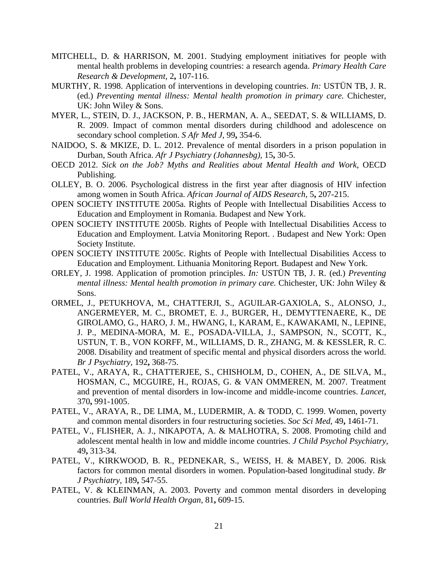- <span id="page-21-12"></span>MITCHELL, D. & HARRISON, M. 2001. Studying employment initiatives for people with mental health problems in developing countries: a research agenda. *Primary Health Care Research & Development,* 2**,** 107-116.
- MURTHY, R. 1998. Application of interventions in developing countries. *In:* USTÜN TB, J. R. (ed.) *Preventing mental illness: Mental health promotion in primary care.* Chichester, UK: John Wiley & Sons.
- <span id="page-21-9"></span>MYER, L., STEIN, D. J., JACKSON, P. B., HERMAN, A. A., SEEDAT, S. & WILLIAMS, D. R. 2009. Impact of common mental disorders during childhood and adolescence on secondary school completion. *S Afr Med J,* 99**,** 354-6.
- <span id="page-21-4"></span>NAIDOO, S. & MKIZE, D. L. 2012. Prevalence of mental disorders in a prison population in Durban, South Africa. *Afr J Psychiatry (Johannesbg),* 15**,** 30-5.
- <span id="page-21-1"></span>OECD 2012. *Sick on the Job? Myths and Realities about Mental Health and Work*, OECD Publishing.
- <span id="page-21-2"></span>OLLEY, B. O. 2006. Psychological distress in the first year after diagnosis of HIV infection among women in South Africa. *African Journal of AIDS Research,* 5**,** 207-215.
- <span id="page-21-6"></span>OPEN SOCIETY INSTITUTE 2005a. Rights of People with Intellectual Disabilities Access to Education and Employment in Romania. Budapest and New York.
- <span id="page-21-5"></span>OPEN SOCIETY INSTITUTE 2005b. Rights of People with Intellectual Disabilities Access to Education and Employment. Latvia Monitoring Report. . Budapest and New York: Open Society Institute.
- <span id="page-21-7"></span>OPEN SOCIETY INSTITUTE 2005c. Rights of People with Intellectual Disabilities Access to Education and Employment. Lithuania Monitoring Report. Budapest and New York.
- ORLEY, J. 1998. Application of promotion principles. *In:* USTÜN TB, J. R. (ed.) *Preventing mental illness: Mental health promotion in primary care.* Chichester, UK: John Wiley & Sons.
- <span id="page-21-3"></span>ORMEL, J., PETUKHOVA, M., CHATTERJI, S., AGUILAR-GAXIOLA, S., ALONSO, J., ANGERMEYER, M. C., BROMET, E. J., BURGER, H., DEMYTTENAERE, K., DE GIROLAMO, G., HARO, J. M., HWANG, I., KARAM, E., KAWAKAMI, N., LEPINE, J. P., MEDINA-MORA, M. E., POSADA-VILLA, J., SAMPSON, N., SCOTT, K., USTUN, T. B., VON KORFF, M., WILLIAMS, D. R., ZHANG, M. & KESSLER, R. C. 2008. Disability and treatment of specific mental and physical disorders across the world. *Br J Psychiatry,* 192**,** 368-75.
- <span id="page-21-13"></span>PATEL, V., ARAYA, R., CHATTERJEE, S., CHISHOLM, D., COHEN, A., DE SILVA, M., HOSMAN, C., MCGUIRE, H., ROJAS, G. & VAN OMMEREN, M. 2007. Treatment and prevention of mental disorders in low-income and middle-income countries. *Lancet,* 370**,** 991-1005.
- <span id="page-21-0"></span>PATEL, V., ARAYA, R., DE LIMA, M., LUDERMIR, A. & TODD, C. 1999. Women, poverty and common mental disorders in four restructuring societies. *Soc Sci Med,* 49**,** 1461-71.
- <span id="page-21-8"></span>PATEL, V., FLISHER, A. J., NIKAPOTA, A. & MALHOTRA, S. 2008. Promoting child and adolescent mental health in low and middle income countries. *J Child Psychol Psychiatry,* 49**,** 313-34.
- <span id="page-21-11"></span>PATEL, V., KIRKWOOD, B. R., PEDNEKAR, S., WEISS, H. & MABEY, D. 2006. Risk factors for common mental disorders in women. Population-based longitudinal study. *Br J Psychiatry,* 189**,** 547-55.
- <span id="page-21-10"></span>PATEL, V. & KLEINMAN, A. 2003. Poverty and common mental disorders in developing countries. *Bull World Health Organ,* 81**,** 609-15.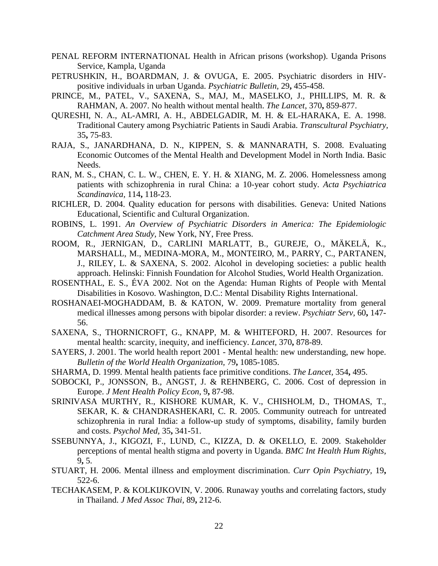- <span id="page-22-7"></span>PENAL REFORM INTERNATIONAL Health in African prisons (workshop). Uganda Prisons Service, Kampla, Uganda
- <span id="page-22-3"></span>PETRUSHKIN, H., BOARDMAN, J. & OVUGA, E. 2005. Psychiatric disorders in HIVpositive individuals in urban Uganda. *Psychiatric Bulletin,* 29**,** 455-458.
- <span id="page-22-1"></span>PRINCE, M., PATEL, V., SAXENA, S., MAJ, M., MASELKO, J., PHILLIPS, M. R. & RAHMAN, A. 2007. No health without mental health. *The Lancet,* 370**,** 859-877.
- <span id="page-22-11"></span>QURESHI, N. A., AL-AMRI, A. H., ABDELGADIR, M. H. & EL-HARAKA, E. A. 1998. Traditional Cautery among Psychiatric Patients in Saudi Arabia. *Transcultural Psychiatry,* 35**,** 75-83.
- <span id="page-22-15"></span>RAJA, S., JANARDHANA, D. N., KIPPEN, S. & MANNARATH, S. 2008. Evaluating Economic Outcomes of the Mental Health and Development Model in North India. Basic Needs.
- <span id="page-22-6"></span>RAN, M. S., CHAN, C. L. W., CHEN, E. Y. H. & XIANG, M. Z. 2006. Homelessness among patients with schizophrenia in rural China: a 10-year cohort study. *Acta Psychiatrica Scandinavica,* 114**,** 118-23.
- <span id="page-22-8"></span>RICHLER, D. 2004. Quality education for persons with disabilities. Geneva: United Nations Educational, Scientific and Cultural Organization.
- <span id="page-22-0"></span>ROBINS, L. 1991. *An Overview of Psychiatric Disorders in America: The Epidemiologic Catchment Area Study,* New York, NY, Free Press.
- <span id="page-22-14"></span>ROOM, R., JERNIGAN, D., CARLINI MARLATT, B., GUREJE, O., MÄKELÄ, K., MARSHALL, M., MEDINA-MORA, M., MONTEIRO, M., PARRY, C., PARTANEN, J., RILEY, L. & SAXENA, S. 2002. Alcohol in developing societies: a public health approach. Helinski: Finnish Foundation for Alcohol Studies, World Health Organization.
- <span id="page-22-4"></span>ROSENTHAL, E. S., ÉVA 2002. Not on the Agenda: Human Rights of People with Mental Disabilities in Kosovo. Washington, D.C.: Mental Disability Rights International.
- <span id="page-22-2"></span>ROSHANAEI-MOGHADDAM, B. & KATON, W. 2009. Premature mortality from general medical illnesses among persons with bipolar disorder: a review. *Psychiatr Serv,* 60**,** 147- 56.
- <span id="page-22-13"></span>SAXENA, S., THORNICROFT, G., KNAPP, M. & WHITEFORD, H. 2007. Resources for mental health: scarcity, inequity, and inefficiency. *Lancet,* 370**,** 878-89.
- SAYERS, J. 2001. The world health report 2001 Mental health: new understanding, new hope. *Bulletin of the World Health Organization,* 79**,** 1085-1085.
- <span id="page-22-12"></span>SHARMA, D. 1999. Mental health patients face primitive conditions. *The Lancet,* 354**,** 495.
- SOBOCKI, P., JONSSON, B., ANGST, J. & REHNBERG, C. 2006. Cost of depression in Europe. *J Ment Health Policy Econ,* 9**,** 87-98.
- SRINIVASA MURTHY, R., KISHORE KUMAR, K. V., CHISHOLM, D., THOMAS, T., SEKAR, K. & CHANDRASHEKARI, C. R. 2005. Community outreach for untreated schizophrenia in rural India: a follow-up study of symptoms, disability, family burden and costs. *Psychol Med,* 35**,** 341-51.
- <span id="page-22-10"></span>SSEBUNNYA, J., KIGOZI, F., LUND, C., KIZZA, D. & OKELLO, E. 2009. Stakeholder perceptions of mental health stigma and poverty in Uganda. *BMC Int Health Hum Rights,* 9**,** 5.
- <span id="page-22-9"></span>STUART, H. 2006. Mental illness and employment discrimination. *Curr Opin Psychiatry,* 19**,** 522-6.
- <span id="page-22-5"></span>TECHAKASEM, P. & KOLKIJKOVIN, V. 2006. Runaway youths and correlating factors, study in Thailand. *J Med Assoc Thai,* 89**,** 212-6.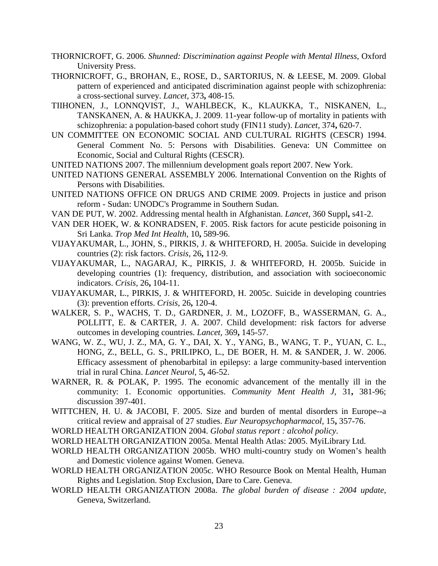<span id="page-23-10"></span>THORNICROFT, G. 2006. *Shunned: Discrimination against People with Mental Illness*, Oxford University Press.

- <span id="page-23-7"></span>THORNICROFT, G., BROHAN, E., ROSE, D., SARTORIUS, N. & LEESE, M. 2009. Global pattern of experienced and anticipated discrimination against people with schizophrenia: a cross-sectional survey. *Lancet,* 373**,** 408-15.
- <span id="page-23-2"></span>TIIHONEN, J., LONNQVIST, J., WAHLBECK, K., KLAUKKA, T., NISKANEN, L., TANSKANEN, A. & HAUKKA, J. 2009. 11-year follow-up of mortality in patients with schizophrenia: a population-based cohort study (FIN11 study). *Lancet,* 374**,** 620-7.
- <span id="page-23-15"></span>UN COMMITTEE ON ECONOMIC SOCIAL AND CULTURAL RIGHTS (CESCR) 1994. General Comment No. 5: Persons with Disabilities. Geneva: UN Committee on Economic, Social and Cultural Rights (CESCR).
- <span id="page-23-6"></span>UNITED NATIONS 2007. The millennium development goals report 2007. New York.
- UNITED NATIONS GENERAL ASSEMBLY 2006. International Convention on the Rights of Persons with Disabilities.
- <span id="page-23-5"></span>UNITED NATIONS OFFICE ON DRUGS AND CRIME 2009. Projects in justice and prison reform - Sudan: UNODC's Programme in Southern Sudan.
- <span id="page-23-8"></span>VAN DE PUT, W. 2002. Addressing mental health in Afghanistan. *Lancet,* 360 Suppl**,** s41-2.
- <span id="page-23-0"></span>VAN DER HOEK, W. & KONRADSEN, F. 2005. Risk factors for acute pesticide poisoning in Sri Lanka. *Trop Med Int Health,* 10**,** 589-96.
- VIJAYAKUMAR, L., JOHN, S., PIRKIS, J. & WHITEFORD, H. 2005a. Suicide in developing countries (2): risk factors. *Crisis,* 26**,** 112-9.
- <span id="page-23-13"></span>VIJAYAKUMAR, L., NAGARAJ, K., PIRKIS, J. & WHITEFORD, H. 2005b. Suicide in developing countries (1): frequency, distribution, and association with socioeconomic indicators. *Crisis,* 26**,** 104-11.
- <span id="page-23-14"></span>VIJAYAKUMAR, L., PIRKIS, J. & WHITEFORD, H. 2005c. Suicide in developing countries (3): prevention efforts. *Crisis,* 26**,** 120-4.
- WALKER, S. P., WACHS, T. D., GARDNER, J. M., LOZOFF, B., WASSERMAN, G. A., POLLITT, E. & CARTER, J. A. 2007. Child development: risk factors for adverse outcomes in developing countries. *Lancet,* 369**,** 145-57.
- WANG, W. Z., WU, J. Z., MA, G. Y., DAI, X. Y., YANG, B., WANG, T. P., YUAN, C. L., HONG, Z., BELL, G. S., PRILIPKO, L., DE BOER, H. M. & SANDER, J. W. 2006. Efficacy assessment of phenobarbital in epilepsy: a large community-based intervention trial in rural China. *Lancet Neurol,* 5**,** 46-52.
- WARNER, R. & POLAK, P. 1995. The economic advancement of the mentally ill in the community: 1. Economic opportunities. *Community Ment Health J,* 31**,** 381-96; discussion 397-401.
- <span id="page-23-3"></span>WITTCHEN, H. U. & JACOBI, F. 2005. Size and burden of mental disorders in Europe--a critical review and appraisal of 27 studies. *Eur Neuropsychopharmacol,* 15**,** 357-76.
- <span id="page-23-11"></span>WORLD HEALTH ORGANIZATION 2004. *Global status report : alcohol policy*.
- <span id="page-23-4"></span>WORLD HEALTH ORGANIZATION 2005a. Mental Health Atlas: 2005. MyiLibrary Ltd.
- <span id="page-23-12"></span>WORLD HEALTH ORGANIZATION 2005b. WHO multi-country study on Women's health and Domestic violence against Women. Geneva.
- <span id="page-23-9"></span>WORLD HEALTH ORGANIZATION 2005c. WHO Resource Book on Mental Health, Human Rights and Legislation. Stop Exclusion, Dare to Care. Geneva.
- <span id="page-23-1"></span>WORLD HEALTH ORGANIZATION 2008a. *The global burden of disease : 2004 update,*  Geneva, Switzerland.